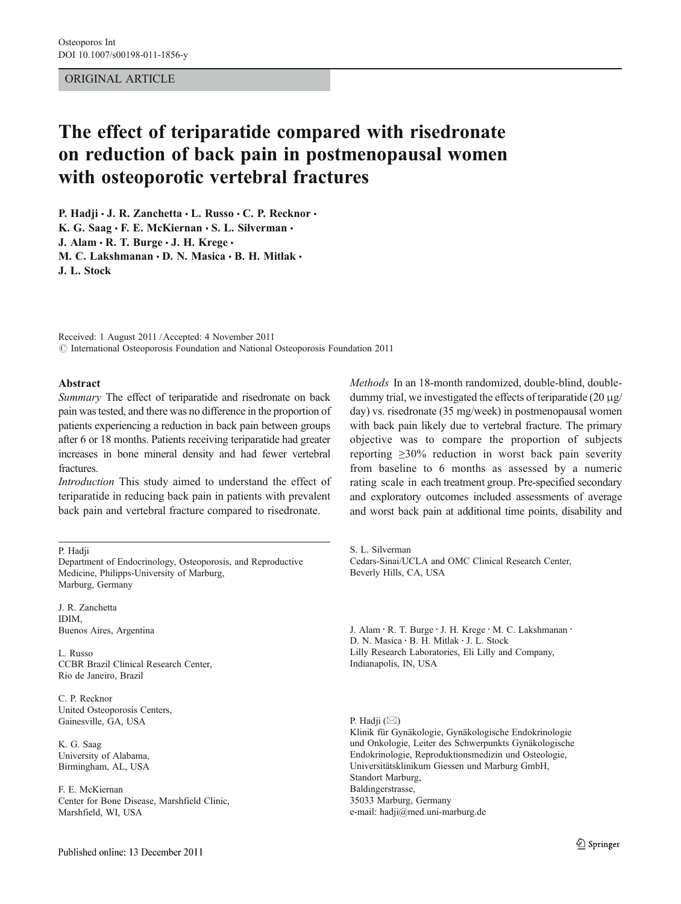## ORIGINAL ARTICLE

# The effect of teriparatide compared with risedronate on reduction of back pain in postmenopausal women with osteoporotic vertebral fractures

P. Hadji · J. R. Zanchetta · L. Russo · C. P. Recknor · K. G. Saag  $\cdot$  F. E. McKiernan  $\cdot$  S. L. Silverman  $\cdot$ J. Alam · R. T. Burge · J. H. Krege ·

M. C. Lakshmanan  $\cdot$  D. N. Masica  $\cdot$  B. H. Mitlak  $\cdot$ J. L. Stock

Received: 1 August 2011 /Accepted: 4 November 2011  $\oslash$  International Osteoporosis Foundation and National Osteoporosis Foundation 2011

#### Abstract

Summary The effect of teriparatide and risedronate on back pain was tested, and there was no difference in the proportion of patients experiencing a reduction in back pain between groups after 6 or 18 months. Patients receiving teriparatide had greater increases in bone mineral density and had fewer vertebral fractures.

Introduction This study aimed to understand the effect of teriparatide in reducing back pain in patients with prevalent back pain and vertebral fracture compared to risedronate.

P. Hadji

Department of Endocrinology, Osteoporosis, and Reproductive Medicine, Philipps-University of Marburg, Marburg, Germany

J. R. Zanchetta IDIM, Buenos Aires, Argentina

L. Russo CCBR Brazil Clinical Research Center, Rio de Janeiro, Brazil

C. P. Recknor United Osteoporosis Centers, Gainesville, GA, USA

K. G. Saag University of Alabama, Birmingham, AL, USA

F. E. McKiernan Center for Bone Disease, Marshfield Clinic, Marshfield, WI, USA

Methods In an 18-month randomized, double-blind, doubledummy trial, we investigated the effects of teriparatide  $(20 \mu g)$ day) vs. risedronate (35 mg/week) in postmenopausal women with back pain likely due to vertebral fracture. The primary objective was to compare the proportion of subjects reporting  $\geq 30\%$  reduction in worst back pain severity from baseline to 6 months as assessed by a numeric rating scale in each treatment group. Pre-specified secondary and exploratory outcomes included assessments of average and worst back pain at additional time points, disability and

S. L. Silverman Cedars-Sinai/UCLA and OMC Clinical Research Center, Beverly Hills, CA, USA

J. Alam : R. T. Burge : J. H. Krege : M. C. Lakshmanan : D. N. Masica : B. H. Mitlak : J. L. Stock Lilly Research Laboratories, Eli Lilly and Company, Indianapolis, IN, USA

P. Hadii  $(\boxtimes)$ 

Klinik für Gynäkologie, Gynäkologische Endokrinologie und Onkologie, Leiter des Schwerpunkts Gynäkologische Endokrinologie, Reproduktionsmedizin und Osteologie, Universitätsklinikum Giessen und Marburg GmbH, Standort Marburg, Baldingerstrasse, 35033 Marburg, Germany e-mail: hadji@med.uni-marburg.de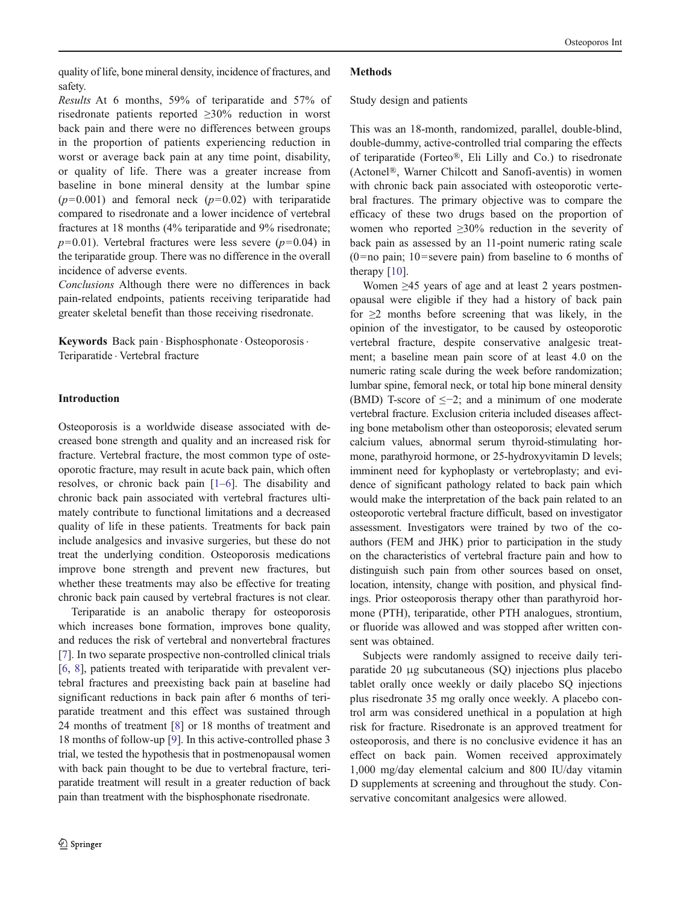quality of life, bone mineral density, incidence of fractures, and safety.

## Results At 6 months, 59% of teriparatide and 57% of risedronate patients reported ≥30% reduction in worst back pain and there were no differences between groups in the proportion of patients experiencing reduction in worst or average back pain at any time point, disability, or quality of life. There was a greater increase from baseline in bone mineral density at the lumbar spine  $(p=0.001)$  and femoral neck  $(p=0.02)$  with teriparatide compared to risedronate and a lower incidence of vertebral fractures at 18 months (4% teriparatide and 9% risedronate;  $p=0.01$ ). Vertebral fractures were less severe ( $p=0.04$ ) in the teriparatide group. There was no difference in the overall incidence of adverse events.

Conclusions Although there were no differences in back pain-related endpoints, patients receiving teriparatide had greater skeletal benefit than those receiving risedronate.

Keywords Back pain . Bisphosphonate . Osteoporosis. Teriparatide . Vertebral fracture

#### Introduction

Osteoporosis is a worldwide disease associated with decreased bone strength and quality and an increased risk for fracture. Vertebral fracture, the most common type of osteoporotic fracture, may result in acute back pain, which often resolves, or chronic back pain [\[1](#page-8-0)–[6](#page-8-0)]. The disability and chronic back pain associated with vertebral fractures ultimately contribute to functional limitations and a decreased quality of life in these patients. Treatments for back pain include analgesics and invasive surgeries, but these do not treat the underlying condition. Osteoporosis medications improve bone strength and prevent new fractures, but whether these treatments may also be effective for treating chronic back pain caused by vertebral fractures is not clear.

Teriparatide is an anabolic therapy for osteoporosis which increases bone formation, improves bone quality, and reduces the risk of vertebral and nonvertebral fractures [\[7](#page-8-0)]. In two separate prospective non-controlled clinical trials [\[6](#page-8-0), [8](#page-8-0)], patients treated with teriparatide with prevalent vertebral fractures and preexisting back pain at baseline had significant reductions in back pain after 6 months of teriparatide treatment and this effect was sustained through 24 months of treatment [[8\]](#page-8-0) or 18 months of treatment and 18 months of follow-up [[9\]](#page-8-0). In this active-controlled phase 3 trial, we tested the hypothesis that in postmenopausal women with back pain thought to be due to vertebral fracture, teriparatide treatment will result in a greater reduction of back pain than treatment with the bisphosphonate risedronate.

#### **Methods**

#### Study design and patients

This was an 18-month, randomized, parallel, double-blind, double-dummy, active-controlled trial comparing the effects of teriparatide (Forteo®, Eli Lilly and Co.) to risedronate (Actonel®, Warner Chilcott and Sanofi-aventis) in women with chronic back pain associated with osteoporotic vertebral fractures. The primary objective was to compare the efficacy of these two drugs based on the proportion of women who reported ≥30% reduction in the severity of back pain as assessed by an 11-point numeric rating scale (0=no pain; 10=severe pain) from baseline to 6 months of therapy [[10\]](#page-8-0).

Women ≥45 years of age and at least 2 years postmenopausal were eligible if they had a history of back pain for  $\geq$ 2 months before screening that was likely, in the opinion of the investigator, to be caused by osteoporotic vertebral fracture, despite conservative analgesic treatment; a baseline mean pain score of at least 4.0 on the numeric rating scale during the week before randomization; lumbar spine, femoral neck, or total hip bone mineral density (BMD) T-score of  $\leq$ -2; and a minimum of one moderate vertebral fracture. Exclusion criteria included diseases affecting bone metabolism other than osteoporosis; elevated serum calcium values, abnormal serum thyroid-stimulating hormone, parathyroid hormone, or 25-hydroxyvitamin D levels; imminent need for kyphoplasty or vertebroplasty; and evidence of significant pathology related to back pain which would make the interpretation of the back pain related to an osteoporotic vertebral fracture difficult, based on investigator assessment. Investigators were trained by two of the coauthors (FEM and JHK) prior to participation in the study on the characteristics of vertebral fracture pain and how to distinguish such pain from other sources based on onset, location, intensity, change with position, and physical findings. Prior osteoporosis therapy other than parathyroid hormone (PTH), teriparatide, other PTH analogues, strontium, or fluoride was allowed and was stopped after written consent was obtained.

Subjects were randomly assigned to receive daily teriparatide 20 μg subcutaneous (SQ) injections plus placebo tablet orally once weekly or daily placebo SQ injections plus risedronate 35 mg orally once weekly. A placebo control arm was considered unethical in a population at high risk for fracture. Risedronate is an approved treatment for osteoporosis, and there is no conclusive evidence it has an effect on back pain. Women received approximately 1,000 mg/day elemental calcium and 800 IU/day vitamin D supplements at screening and throughout the study. Conservative concomitant analgesics were allowed.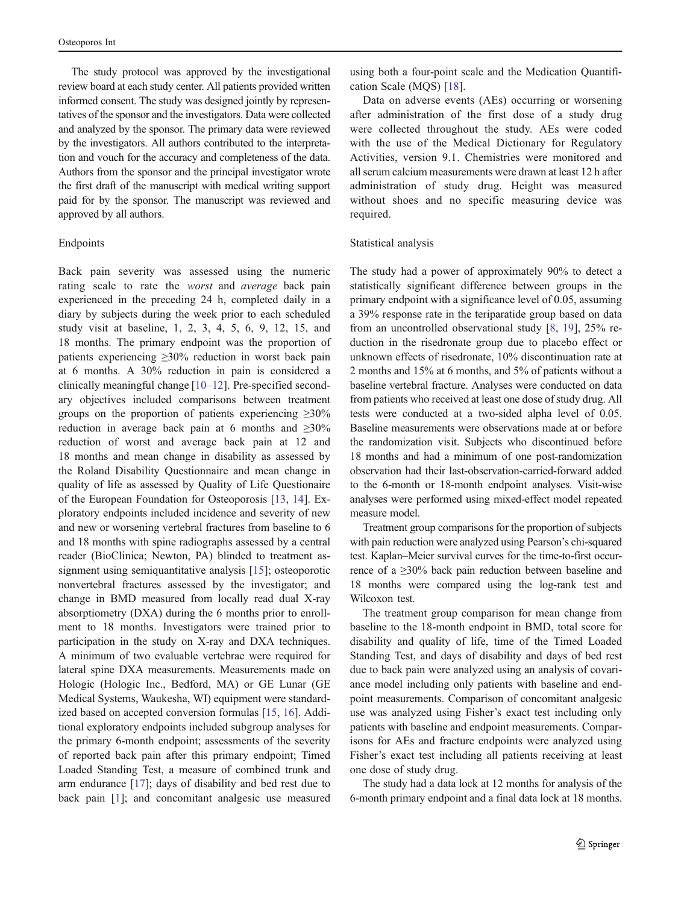The study protocol was approved by the investigational review board at each study center. All patients provided written informed consent. The study was designed jointly by representatives of the sponsor and the investigators. Data were collected and analyzed by the sponsor. The primary data were reviewed by the investigators. All authors contributed to the interpretation and vouch for the accuracy and completeness of the data. Authors from the sponsor and the principal investigator wrote the first draft of the manuscript with medical writing support paid for by the sponsor. The manuscript was reviewed and approved by all authors.

#### Endpoints

Back pain severity was assessed using the numeric rating scale to rate the worst and average back pain experienced in the preceding 24 h, completed daily in a diary by subjects during the week prior to each scheduled study visit at baseline, 1, 2, 3, 4, 5, 6, 9, 12, 15, and 18 months. The primary endpoint was the proportion of patients experiencing ≥30% reduction in worst back pain at 6 months. A 30% reduction in pain is considered a clinically meaningful change [[10](#page-8-0)–[12\]](#page-8-0). Pre-specified secondary objectives included comparisons between treatment groups on the proportion of patients experiencing  $\geq 30\%$ reduction in average back pain at 6 months and  $\geq 30\%$ reduction of worst and average back pain at 12 and 18 months and mean change in disability as assessed by the Roland Disability Questionnaire and mean change in quality of life as assessed by Quality of Life Questionaire of the European Foundation for Osteoporosis [\[13](#page-8-0), [14\]](#page-8-0). Exploratory endpoints included incidence and severity of new and new or worsening vertebral fractures from baseline to 6 and 18 months with spine radiographs assessed by a central reader (BioClinica; Newton, PA) blinded to treatment assignment using semiquantitative analysis [\[15](#page-8-0)]; osteoporotic nonvertebral fractures assessed by the investigator; and change in BMD measured from locally read dual X-ray absorptiometry (DXA) during the 6 months prior to enrollment to 18 months. Investigators were trained prior to participation in the study on X-ray and DXA techniques. A minimum of two evaluable vertebrae were required for lateral spine DXA measurements. Measurements made on Hologic (Hologic Inc., Bedford, MA) or GE Lunar (GE Medical Systems, Waukesha, WI) equipment were standardized based on accepted conversion formulas [\[15](#page-8-0), [16\]](#page-8-0). Additional exploratory endpoints included subgroup analyses for the primary 6-month endpoint; assessments of the severity of reported back pain after this primary endpoint; Timed Loaded Standing Test, a measure of combined trunk and arm endurance [\[17](#page-8-0)]; days of disability and bed rest due to back pain [[1\]](#page-8-0); and concomitant analgesic use measured

using both a four-point scale and the Medication Quantification Scale (MQS) [[18\]](#page-8-0).

Data on adverse events (AEs) occurring or worsening after administration of the first dose of a study drug were collected throughout the study. AEs were coded with the use of the Medical Dictionary for Regulatory Activities, version 9.1. Chemistries were monitored and all serum calcium measurements were drawn at least 12 h after administration of study drug. Height was measured without shoes and no specific measuring device was required.

#### Statistical analysis

The study had a power of approximately 90% to detect a statistically significant difference between groups in the primary endpoint with a significance level of 0.05, assuming a 39% response rate in the teriparatide group based on data from an uncontrolled observational study [\[8](#page-8-0), [19](#page-8-0)], 25% reduction in the risedronate group due to placebo effect or unknown effects of risedronate, 10% discontinuation rate at 2 months and 15% at 6 months, and 5% of patients without a baseline vertebral fracture. Analyses were conducted on data from patients who received at least one dose of study drug. All tests were conducted at a two-sided alpha level of 0.05. Baseline measurements were observations made at or before the randomization visit. Subjects who discontinued before 18 months and had a minimum of one post-randomization observation had their last-observation-carried-forward added to the 6-month or 18-month endpoint analyses. Visit-wise analyses were performed using mixed-effect model repeated measure model.

Treatment group comparisons for the proportion of subjects with pain reduction were analyzed using Pearson's chi-squared test. Kaplan–Meier survival curves for the time-to-first occurrence of a ≥30% back pain reduction between baseline and 18 months were compared using the log-rank test and Wilcoxon test.

The treatment group comparison for mean change from baseline to the 18-month endpoint in BMD, total score for disability and quality of life, time of the Timed Loaded Standing Test, and days of disability and days of bed rest due to back pain were analyzed using an analysis of covariance model including only patients with baseline and endpoint measurements. Comparison of concomitant analgesic use was analyzed using Fisher's exact test including only patients with baseline and endpoint measurements. Comparisons for AEs and fracture endpoints were analyzed using Fisher's exact test including all patients receiving at least one dose of study drug.

The study had a data lock at 12 months for analysis of the 6-month primary endpoint and a final data lock at 18 months.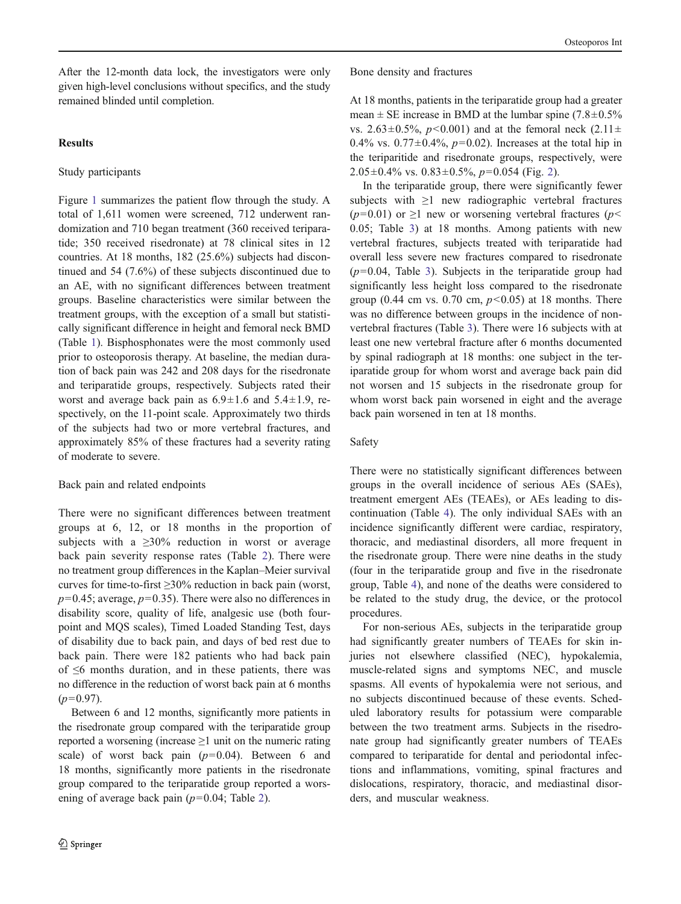After the 12-month data lock, the investigators were only given high-level conclusions without specifics, and the study remained blinded until completion.

### Results

#### Study participants

Figure [1](#page-4-0) summarizes the patient flow through the study. A total of 1,611 women were screened, 712 underwent randomization and 710 began treatment (360 received teriparatide; 350 received risedronate) at 78 clinical sites in 12 countries. At 18 months, 182 (25.6%) subjects had discontinued and 54 (7.6%) of these subjects discontinued due to an AE, with no significant differences between treatment groups. Baseline characteristics were similar between the treatment groups, with the exception of a small but statistically significant difference in height and femoral neck BMD (Table [1\)](#page-5-0). Bisphosphonates were the most commonly used prior to osteoporosis therapy. At baseline, the median duration of back pain was 242 and 208 days for the risedronate and teriparatide groups, respectively. Subjects rated their worst and average back pain as  $6.9 \pm 1.6$  and  $5.4 \pm 1.9$ , respectively, on the 11-point scale. Approximately two thirds of the subjects had two or more vertebral fractures, and approximately 85% of these fractures had a severity rating of moderate to severe.

#### Back pain and related endpoints

There were no significant differences between treatment groups at 6, 12, or 18 months in the proportion of subjects with a  $\geq 30\%$  reduction in worst or average back pain severity response rates (Table [2](#page-6-0)). There were no treatment group differences in the Kaplan–Meier survival curves for time-to-first  $\geq$ 30% reduction in back pain (worst,  $p=0.45$ ; average,  $p=0.35$ ). There were also no differences in disability score, quality of life, analgesic use (both fourpoint and MQS scales), Timed Loaded Standing Test, days of disability due to back pain, and days of bed rest due to back pain. There were 182 patients who had back pain of ≤6 months duration, and in these patients, there was no difference in the reduction of worst back pain at 6 months  $(p=0.97)$ .

Between 6 and 12 months, significantly more patients in the risedronate group compared with the teriparatide group reported a worsening (increase  $\geq$ 1 unit on the numeric rating scale) of worst back pain  $(p=0.04)$ . Between 6 and 18 months, significantly more patients in the risedronate group compared to the teriparatide group reported a worsening of average back pain  $(p=0.04;$  Table [2](#page-6-0)).

Bone density and fractures

At 18 months, patients in the teriparatide group had a greater mean  $\pm$  SE increase in BMD at the lumbar spine (7.8 $\pm$ 0.5%) vs.  $2.63 \pm 0.5\%$ ,  $p < 0.001$ ) and at the femoral neck  $(2.11 \pm$ 0.4% vs.  $0.77 \pm 0.4$ %,  $p=0.02$ ). Increases at the total hip in the teriparitide and risedronate groups, respectively, were  $2.05\pm0.4\%$  $2.05\pm0.4\%$  vs.  $0.83\pm0.5\%$ ,  $p=0.054$  (Fig. 2).

In the teriparatide group, there were significantly fewer subjects with  $\geq 1$  new radiographic vertebral fractures  $(p=0.01)$  or  $\geq 1$  new or worsening vertebral fractures (p< 0.05; Table [3](#page-7-0)) at 18 months. Among patients with new vertebral fractures, subjects treated with teriparatide had overall less severe new fractures compared to risedronate  $(p=0.04,$  Table [3](#page-7-0)). Subjects in the teriparatide group had significantly less height loss compared to the risedronate group (0.44 cm vs. 0.70 cm,  $p<0.05$ ) at 18 months. There was no difference between groups in the incidence of nonvertebral fractures (Table [3\)](#page-7-0). There were 16 subjects with at least one new vertebral fracture after 6 months documented by spinal radiograph at 18 months: one subject in the teriparatide group for whom worst and average back pain did not worsen and 15 subjects in the risedronate group for whom worst back pain worsened in eight and the average back pain worsened in ten at 18 months.

#### Safety

There were no statistically significant differences between groups in the overall incidence of serious AEs (SAEs), treatment emergent AEs (TEAEs), or AEs leading to discontinuation (Table [4](#page-7-0)). The only individual SAEs with an incidence significantly different were cardiac, respiratory, thoracic, and mediastinal disorders, all more frequent in the risedronate group. There were nine deaths in the study (four in the teriparatide group and five in the risedronate group, Table [4\)](#page-7-0), and none of the deaths were considered to be related to the study drug, the device, or the protocol procedures.

For non-serious AEs, subjects in the teriparatide group had significantly greater numbers of TEAEs for skin injuries not elsewhere classified (NEC), hypokalemia, muscle-related signs and symptoms NEC, and muscle spasms. All events of hypokalemia were not serious, and no subjects discontinued because of these events. Scheduled laboratory results for potassium were comparable between the two treatment arms. Subjects in the risedronate group had significantly greater numbers of TEAEs compared to teriparatide for dental and periodontal infections and inflammations, vomiting, spinal fractures and dislocations, respiratory, thoracic, and mediastinal disorders, and muscular weakness.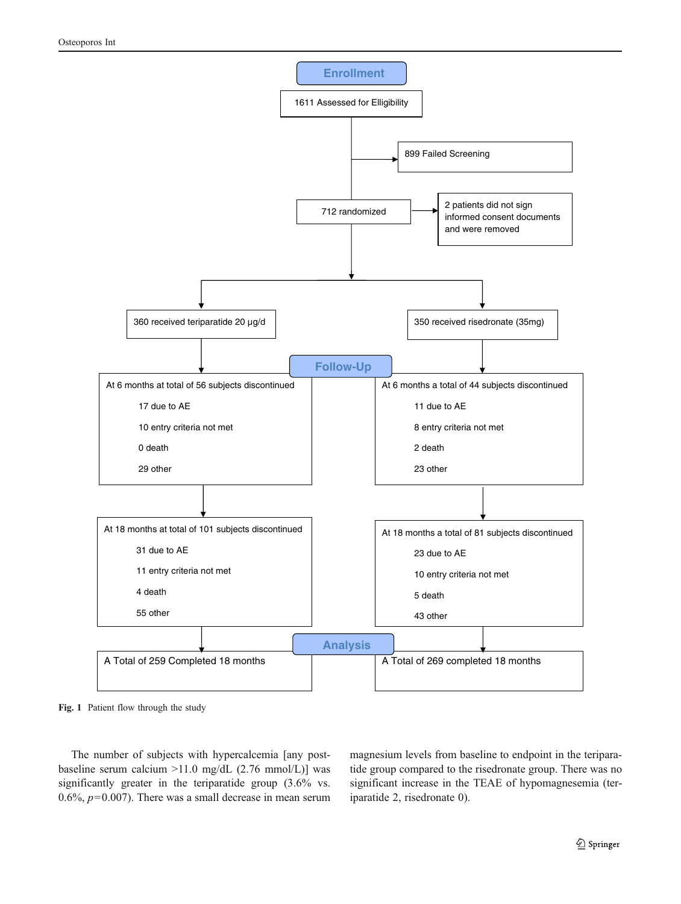<span id="page-4-0"></span>

Fig. 1 Patient flow through the study

The number of subjects with hypercalcemia [any postbaseline serum calcium >11.0 mg/dL (2.76 mmol/L)] was significantly greater in the teriparatide group (3.6% vs. 0.6%,  $p=0.007$ ). There was a small decrease in mean serum magnesium levels from baseline to endpoint in the teriparatide group compared to the risedronate group. There was no significant increase in the TEAE of hypomagnesemia (teriparatide 2, risedronate 0).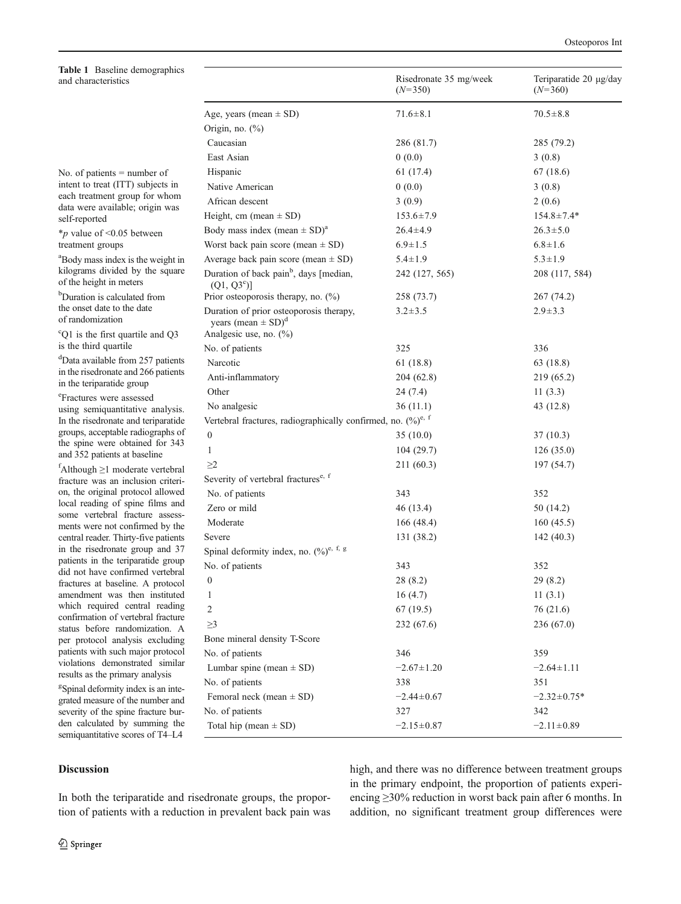<span id="page-5-0"></span>

| <b>Table 1</b> Baseline demographics |
|--------------------------------------|
| and characteristics                  |

| <b>Table 1</b> Baseline demographics<br>and characteristics              |                                                                               | Risedronate 35 mg/week<br>$(N=350)$ | Teriparatide 20 µg/day<br>$(N=360)$ |
|--------------------------------------------------------------------------|-------------------------------------------------------------------------------|-------------------------------------|-------------------------------------|
|                                                                          | Age, years (mean $\pm$ SD)                                                    | $71.6 \pm 8.1$                      | $70.5 \pm 8.8$                      |
|                                                                          | Origin, no. $(\%)$                                                            |                                     |                                     |
|                                                                          | Caucasian                                                                     | 286 (81.7)                          | 285 (79.2)                          |
|                                                                          | East Asian                                                                    | 0(0.0)                              | 3(0.8)                              |
| No. of patients $=$ number of                                            | Hispanic                                                                      | 61(17.4)                            | 67 (18.6)                           |
| intent to treat (ITT) subjects in                                        | Native American                                                               |                                     |                                     |
| each treatment group for whom                                            |                                                                               | 0(0.0)                              | 3(0.8)                              |
| data were available; origin was                                          | African descent                                                               | 3(0.9)                              | 2(0.6)                              |
| self-reported                                                            | Height, cm (mean $\pm$ SD)                                                    | $153.6 \pm 7.9$                     | $154.8 \pm 7.4*$                    |
| *p value of $\leq$ 0.05 between                                          | Body mass index (mean $\pm$ SD) <sup>a</sup>                                  | $26.4 \pm 4.9$                      | $26.3 \pm 5.0$                      |
| treatment groups                                                         | Worst back pain score (mean $\pm$ SD)                                         | $6.9 \pm 1.5$                       | $6.8 \pm 1.6$                       |
| <sup>a</sup> Body mass index is the weight in                            | Average back pain score (mean $\pm$ SD)                                       | $5.4 \pm 1.9$                       | $5.3 \pm 1.9$                       |
| kilograms divided by the square<br>of the height in meters               | Duration of back pain <sup>b</sup> , days [median,<br>$(Q1, Q3^c)$ ]          | 242 (127, 565)                      | 208 (117, 584)                      |
| <sup>b</sup> Duration is calculated from                                 | Prior osteoporosis therapy, no. $(\%)$                                        | 258 (73.7)                          | 267 (74.2)                          |
| the onset date to the date<br>of randomization                           | Duration of prior osteoporosis therapy,<br>years (mean $\pm$ SD) <sup>d</sup> | $3.2 + 3.5$                         | $2.9 \pm 3.3$                       |
| $^{\circ}$ Q1 is the first quartile and Q3                               | Analgesic use, no. (%)                                                        |                                     |                                     |
| is the third quartile                                                    | No. of patients                                                               | 325                                 | 336                                 |
| <sup>d</sup> Data available from 257 patients                            | Narcotic                                                                      | 61(18.8)                            | 63 (18.8)                           |
| in the risedronate and 266 patients<br>in the teriparatide group         | Anti-inflammatory                                                             | 204 (62.8)                          | 219(65.2)                           |
|                                                                          | Other                                                                         | 24(7.4)                             | 11(3.3)                             |
| <sup>e</sup> Fractures were assessed<br>using semiquantitative analysis. | No analgesic                                                                  | 36(11.1)                            | 43 (12.8)                           |
| In the risedronate and teriparatide                                      | Vertebral fractures, radiographically confirmed, no. (%)e, f                  |                                     |                                     |
| groups, acceptable radiographs of                                        | $\boldsymbol{0}$                                                              | 35 (10.0)                           | 37(10.3)                            |
| the spine were obtained for 343                                          | $\mathbf{1}$                                                                  | 104 (29.7)                          | 126(35.0)                           |
| and 352 patients at baseline                                             | $\geq$ 2                                                                      | 211 (60.3)                          | 197 (54.7)                          |
| $^{\text{t}}$ Although $\geq$ 1 moderate vertebral                       |                                                                               |                                     |                                     |
| fracture was an inclusion criteri-                                       | Severity of vertebral fractures <sup>e, f</sup>                               |                                     |                                     |
| on, the original protocol allowed<br>local reading of spine films and    | No. of patients                                                               | 343                                 | 352                                 |
| some vertebral fracture assess-                                          | Zero or mild                                                                  | 46 (13.4)                           | 50 (14.2)                           |
| ments were not confirmed by the                                          | Moderate                                                                      | 166(48.4)                           | 160(45.5)                           |
| central reader. Thirty-five patients                                     | Severe                                                                        | 131 (38.2)                          | 142(40.3)                           |
| in the risedronate group and 37                                          | Spinal deformity index, no. (%) <sup>e, f, g</sup>                            |                                     |                                     |
| patients in the teriparatide group<br>did not have confirmed vertebral   | No. of patients                                                               | 343                                 | 352                                 |
| fractures at baseline. A protocol                                        | $\overline{0}$                                                                | 28 (8.2)                            | 29(8.2)                             |
| amendment was then instituted                                            | $\mathbf{1}$                                                                  | 16(4.7)                             | 11(3.1)                             |
| which required central reading                                           | $\overline{c}$                                                                | 67(19.5)                            | 76 (21.6)                           |
| confirmation of vertebral fracture                                       | $\geq$ 3                                                                      | 232 (67.6)                          | 236 (67.0)                          |
| status before randomization. A                                           | Bone mineral density T-Score                                                  |                                     |                                     |
| per protocol analysis excluding<br>patients with such major protocol     | No. of patients                                                               | 346                                 | 359                                 |
| violations demonstrated similar                                          |                                                                               |                                     |                                     |
| results as the primary analysis                                          | Lumbar spine (mean $\pm$ SD)                                                  | $-2.67 \pm 1.20$                    | $-2.64 \pm 1.11$                    |
| <sup>g</sup> Spinal deformity index is an inte-                          | No. of patients                                                               | 338                                 | 351                                 |
| grated measure of the number and                                         | Femoral neck (mean $\pm$ SD)                                                  | $-2.44 \pm 0.67$                    | $-2.32 \pm 0.75*$                   |
| severity of the spine fracture bur-                                      | No. of patients                                                               | 327                                 | 342                                 |
| den calculated by summing the<br>semiquantitative scores of T4-L4        | Total hip (mean $\pm$ SD)                                                     | $-2.15 \pm 0.87$                    | $-2.11 \pm 0.89$                    |

## Discussion

In both the teriparatide and risedronate groups, the proportion of patients with a reduction in prevalent back pain was high, and there was no difference between treatment groups in the primary endpoint, the proportion of patients experiencing ≥30% reduction in worst back pain after 6 months. In addition, no significant treatment group differences were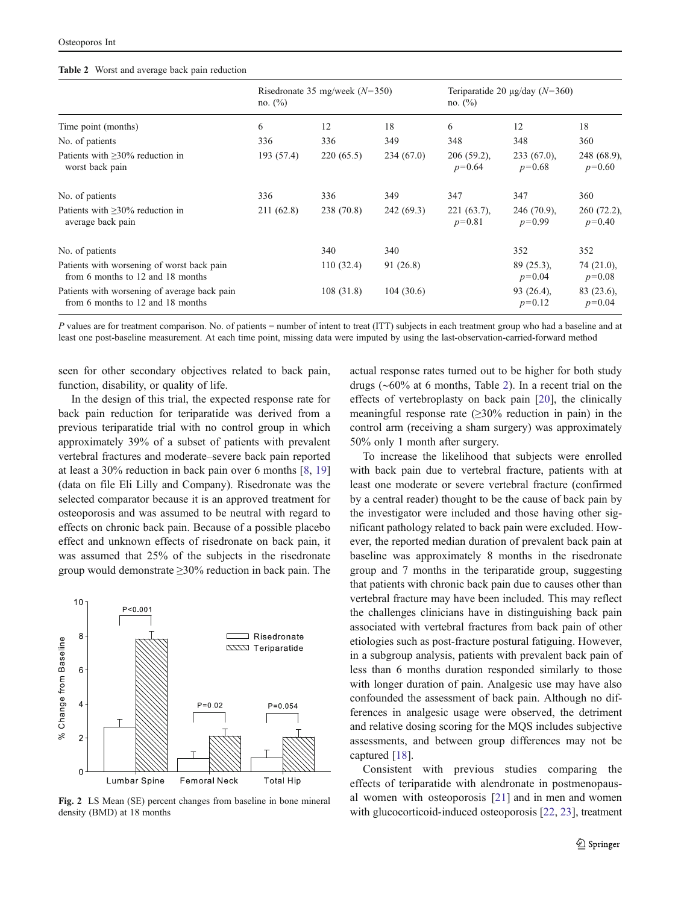#### <span id="page-6-0"></span>Table 2 Worst and average back pain reduction

|                                                                                   | no. $(\%)$ | Risedronate 35 mg/week $(N=350)$ |           | no. $(\% )$               | Teriparatide 20 $\mu$ g/day (N=360) |                         |
|-----------------------------------------------------------------------------------|------------|----------------------------------|-----------|---------------------------|-------------------------------------|-------------------------|
| Time point (months)                                                               | 6          | 12                               | 18        | 6                         | 12                                  | 18                      |
| No. of patients                                                                   | 336        | 336                              | 349       | 348                       | 348                                 | 360                     |
| Patients with $\geq$ 30% reduction in<br>worst back pain                          | 193 (57.4) | 220(65.5)                        | 234(67.0) | 206(59.2),<br>$p=0.64$    | $233(67.0)$ ,<br>$p=0.68$           | 248 (68.9),<br>$p=0.60$ |
| No. of patients                                                                   | 336        | 336                              | 349       | 347                       | 347                                 | 360                     |
| Patients with $\geq$ 30% reduction in<br>average back pain                        | 211 (62.8) | 238 (70.8)                       | 242(69.3) | $221(63.7)$ ,<br>$p=0.81$ | $246(70.9)$ ,<br>$p=0.99$           | 260(72.2),<br>$p=0.40$  |
| No. of patients                                                                   |            | 340                              | 340       |                           | 352                                 | 352                     |
| Patients with worsening of worst back pain<br>from 6 months to 12 and 18 months   |            | 110(32.4)                        | 91 (26.8) |                           | $89(25.3)$ ,<br>$p=0.04$            | 74 (21.0),<br>$p=0.08$  |
| Patients with worsening of average back pain<br>from 6 months to 12 and 18 months |            | 108(31.8)                        | 104(30.6) |                           | 93 (26.4),<br>$p=0.12$              | 83 (23.6),<br>$p=0.04$  |

P values are for treatment comparison. No. of patients  $=$  number of intent to treat (ITT) subjects in each treatment group who had a baseline and at least one post-baseline measurement. At each time point, missing data were imputed by using the last-observation-carried-forward method

seen for other secondary objectives related to back pain, function, disability, or quality of life.

In the design of this trial, the expected response rate for back pain reduction for teriparatide was derived from a previous teriparatide trial with no control group in which approximately 39% of a subset of patients with prevalent vertebral fractures and moderate–severe back pain reported at least a 30% reduction in back pain over 6 months [[8,](#page-8-0) [19\]](#page-8-0) (data on file Eli Lilly and Company). Risedronate was the selected comparator because it is an approved treatment for osteoporosis and was assumed to be neutral with regard to effects on chronic back pain. Because of a possible placebo effect and unknown effects of risedronate on back pain, it was assumed that 25% of the subjects in the risedronate group would demonstrate  $\geq$ 30% reduction in back pain. The



Fig. 2 LS Mean (SE) percent changes from baseline in bone mineral density (BMD) at 18 months

actual response rates turned out to be higher for both study drugs (∼60% at 6 months, Table 2). In a recent trial on the effects of vertebroplasty on back pain [\[20](#page-9-0)], the clinically meaningful response rate  $(\geq 30\%$  reduction in pain) in the control arm (receiving a sham surgery) was approximately 50% only 1 month after surgery.

To increase the likelihood that subjects were enrolled with back pain due to vertebral fracture, patients with at least one moderate or severe vertebral fracture (confirmed by a central reader) thought to be the cause of back pain by the investigator were included and those having other significant pathology related to back pain were excluded. However, the reported median duration of prevalent back pain at baseline was approximately 8 months in the risedronate group and 7 months in the teriparatide group, suggesting that patients with chronic back pain due to causes other than vertebral fracture may have been included. This may reflect the challenges clinicians have in distinguishing back pain associated with vertebral fractures from back pain of other etiologies such as post-fracture postural fatiguing. However, in a subgroup analysis, patients with prevalent back pain of less than 6 months duration responded similarly to those with longer duration of pain. Analgesic use may have also confounded the assessment of back pain. Although no differences in analgesic usage were observed, the detriment and relative dosing scoring for the MQS includes subjective assessments, and between group differences may not be captured [\[18](#page-8-0)].

Consistent with previous studies comparing the effects of teriparatide with alendronate in postmenopausal women with osteoporosis [\[21](#page-9-0)] and in men and women with glucocorticoid-induced osteoporosis [\[22](#page-9-0), [23](#page-9-0)], treatment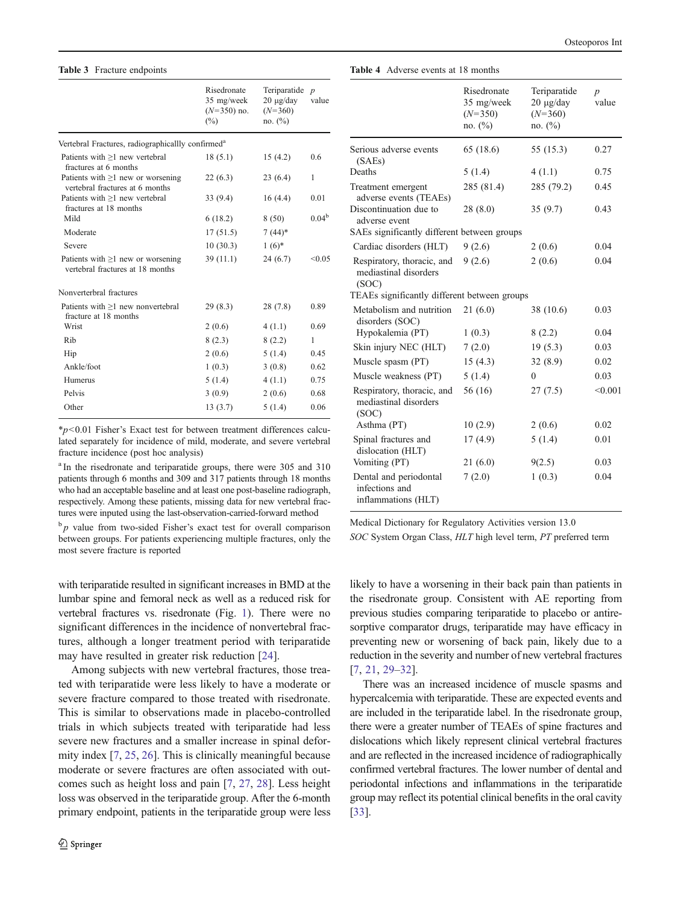<span id="page-7-0"></span>Table 3 Fracture endpoints

|                                                                             | Risedronate<br>35 mg/week<br>$(N=350)$ no.<br>$(\%)$ | Teriparatide<br>20 µg/day<br>$(N=360)$<br>no. (%) | $\boldsymbol{p}$<br>value |
|-----------------------------------------------------------------------------|------------------------------------------------------|---------------------------------------------------|---------------------------|
| Vertebral Fractures, radiographicallly confirmed <sup>a</sup>               |                                                      |                                                   |                           |
| Patients with >1 new vertebral<br>fractures at 6 months                     | 18(5.1)                                              | 15(4.2)                                           | 0.6                       |
| Patients with $\geq 1$ new or worsening<br>vertebral fractures at 6 months  | 22(6.3)                                              | 23(6.4)                                           | $\mathbf{1}$              |
| Patients with $\geq 1$ new vertebral<br>fractures at 18 months              | 33(9.4)                                              | 16(4.4)                                           | 0.01                      |
| Mild                                                                        | 6(18.2)                                              | 8(50)                                             | $0.04^{\rm b}$            |
| Moderate                                                                    | 17(51.5)                                             | $7(44)$ *                                         |                           |
| Severe                                                                      | 10(30.3)                                             | $1(6)^*$                                          |                           |
| Patients with $\geq 1$ new or worsening<br>vertebral fractures at 18 months | 39(11.1)                                             | 24(6.7)                                           | < 0.05                    |
| Nonverterbral fractures                                                     |                                                      |                                                   |                           |
| Patients with $\geq 1$ new nonvertebral<br>fracture at 18 months            | 29(8.3)                                              | 28(7.8)                                           | 0.89                      |
| Wrist                                                                       | 2(0.6)                                               | 4(1.1)                                            | 0.69                      |
| Rib                                                                         | 8(2.3)                                               | 8(2.2)                                            | 1                         |
| Hip                                                                         | 2(0.6)                                               | 5(1.4)                                            | 0.45                      |
| Ankle/foot                                                                  | 1(0.3)                                               | 3(0.8)                                            | 0.62                      |
| Humerus                                                                     | 5(1.4)                                               | 4(1.1)                                            | 0.75                      |
| Pelvis                                                                      | 3(0.9)                                               | 2(0.6)                                            | 0.68                      |
| Other                                                                       | 13(3.7)                                              | 5(1.4)                                            | 0.06                      |
|                                                                             |                                                      |                                                   |                           |

 $*_{p}$ <0.01 Fisher's Exact test for between treatment differences calculated separately for incidence of mild, moderate, and severe vertebral fracture incidence (post hoc analysis)

<sup>a</sup> In the risedronate and teriparatide groups, there were 305 and 310 patients through 6 months and 309 and 317 patients through 18 months who had an acceptable baseline and at least one post-baseline radiograph, respectively. Among these patients, missing data for new vertebral fractures were inputed using the last-observation-carried-forward method

 $b$  p value from two-sided Fisher's exact test for overall comparison between groups. For patients experiencing multiple fractures, only the most severe fracture is reported

with teriparatide resulted in significant increases in BMD at the lumbar spine and femoral neck as well as a reduced risk for vertebral fractures vs. risedronate (Fig. [1](#page-4-0)). There were no significant differences in the incidence of nonvertebral fractures, although a longer treatment period with teriparatide may have resulted in greater risk reduction [\[24](#page-9-0)].

Among subjects with new vertebral fractures, those treated with teriparatide were less likely to have a moderate or severe fracture compared to those treated with risedronate. This is similar to observations made in placebo-controlled trials in which subjects treated with teriparatide had less severe new fractures and a smaller increase in spinal deformity index [\[7](#page-8-0), [25](#page-9-0), [26](#page-9-0)]. This is clinically meaningful because moderate or severe fractures are often associated with outcomes such as height loss and pain [[7,](#page-8-0) [27](#page-9-0), [28\]](#page-9-0). Less height loss was observed in the teriparatide group. After the 6-month primary endpoint, patients in the teriparatide group were less Table 4 Adverse events at 18 months

|                                                                 | Risedronate<br>35 mg/week<br>$(N=350)$<br>no. (%) | Teriparatide<br>$20 \mu g/day$<br>$(N=360)$<br>no. (%) | $\boldsymbol{p}$<br>value |
|-----------------------------------------------------------------|---------------------------------------------------|--------------------------------------------------------|---------------------------|
| Serious adverse events<br>(SAEs)                                | 65 (18.6)                                         | 55 (15.3)                                              | 0.27                      |
| Deaths                                                          | 5(1.4)                                            | 4(1.1)                                                 | 0.75                      |
| Treatment emergent<br>adverse events (TEAEs)                    | 285 (81.4)                                        | 285 (79.2)                                             | 0.45                      |
| Discontinuation due to<br>adverse event                         | 28(8.0)                                           | 35(9.7)                                                | 0.43                      |
| SAEs significantly different between groups                     |                                                   |                                                        |                           |
| Cardiac disorders (HLT)                                         | 9(2.6)                                            | 2(0.6)                                                 | 0.04                      |
| Respiratory, thoracic, and<br>mediastinal disorders<br>(SOC)    | 9(2.6)                                            | 2(0.6)                                                 | 0.04                      |
| TEAEs significantly different between groups                    |                                                   |                                                        |                           |
| Metabolism and nutrition<br>disorders (SOC)                     | 21(6.0)                                           | 38 (10.6)                                              | 0.03                      |
| Hypokalemia (PT)                                                | 1(0.3)                                            | 8(2.2)                                                 | 0.04                      |
| Skin injury NEC (HLT)                                           | 7(2.0)                                            | 19(5.3)                                                | 0.03                      |
| Muscle spasm (PT)                                               | 15(4.3)                                           | 32(8.9)                                                | 0.02                      |
| Muscle weakness (PT)                                            | 5(1.4)                                            | $\theta$                                               | 0.03                      |
| Respiratory, thoracic, and<br>mediastinal disorders<br>(SOC)    | 56 (16)                                           | 27(7.5)                                                | < 0.001                   |
| Asthma (PT)                                                     | 10(2.9)                                           | 2(0.6)                                                 | 0.02                      |
| Spinal fractures and<br>dislocation (HLT)                       | 17(4.9)                                           | 5(1.4)                                                 | 0.01                      |
| Vomiting (PT)                                                   | 21 (6.0)                                          | 9(2.5)                                                 | 0.03                      |
| Dental and periodontal<br>infections and<br>inflammations (HLT) | 7(2.0)                                            | 1(0.3)                                                 | 0.04                      |

Medical Dictionary for Regulatory Activities version 13.0 SOC System Organ Class, HLT high level term, PT preferred term

likely to have a worsening in their back pain than patients in the risedronate group. Consistent with AE reporting from previous studies comparing teriparatide to placebo or antiresorptive comparator drugs, teriparatide may have efficacy in preventing new or worsening of back pain, likely due to a reduction in the severity and number of new vertebral fractures [\[7](#page-8-0), [21,](#page-9-0) [29](#page-9-0)–[32](#page-9-0)].

There was an increased incidence of muscle spasms and hypercalcemia with teriparatide. These are expected events and are included in the teriparatide label. In the risedronate group, there were a greater number of TEAEs of spine fractures and dislocations which likely represent clinical vertebral fractures and are reflected in the increased incidence of radiographically confirmed vertebral fractures. The lower number of dental and periodontal infections and inflammations in the teriparatide group may reflect its potential clinical benefits in the oral cavity [\[33](#page-9-0)].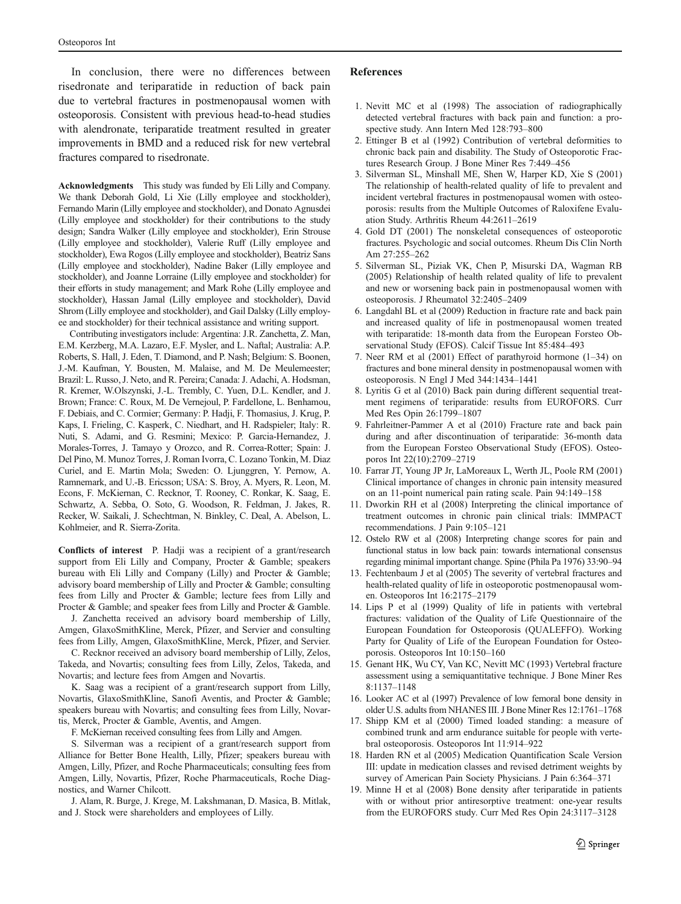<span id="page-8-0"></span>In conclusion, there were no differences between risedronate and teriparatide in reduction of back pain due to vertebral fractures in postmenopausal women with osteoporosis. Consistent with previous head-to-head studies with alendronate, teriparatide treatment resulted in greater improvements in BMD and a reduced risk for new vertebral fractures compared to risedronate.

Acknowledgments This study was funded by Eli Lilly and Company. We thank Deborah Gold, Li Xie (Lilly employee and stockholder), Fernando Marin (Lilly employee and stockholder), and Donato Agnusdei (Lilly employee and stockholder) for their contributions to the study design; Sandra Walker (Lilly employee and stockholder), Erin Strouse (Lilly employee and stockholder), Valerie Ruff (Lilly employee and stockholder), Ewa Rogos (Lilly employee and stockholder), Beatriz Sans (Lilly employee and stockholder), Nadine Baker (Lilly employee and stockholder), and Joanne Lorraine (Lilly employee and stockholder) for their efforts in study management; and Mark Rohe (Lilly employee and stockholder), Hassan Jamal (Lilly employee and stockholder), David Shrom (Lilly employee and stockholder), and Gail Dalsky (Lilly employee and stockholder) for their technical assistance and writing support.

Contributing investigators include: Argentina: J.R. Zanchetta, Z. Man, E.M. Kerzberg, M.A. Lazaro, E.F. Mysler, and L. Naftal; Australia: A.P. Roberts, S. Hall, J. Eden, T. Diamond, and P. Nash; Belgium: S. Boonen, J.-M. Kaufman, Y. Bousten, M. Malaise, and M. De Meulemeester; Brazil: L. Russo, J. Neto, and R. Pereira; Canada: J. Adachi, A. Hodsman, R. Kremer, W.Olszynski, J.-L. Trembly, C. Yuen, D.L. Kendler, and J. Brown; France: C. Roux, M. De Vernejoul, P. Fardellone, L. Benhamou, F. Debiais, and C. Cormier; Germany: P. Hadji, F. Thomasius, J. Krug, P. Kaps, I. Frieling, C. Kasperk, C. Niedhart, and H. Radspieler; Italy: R. Nuti, S. Adami, and G. Resmini; Mexico: P. Garcia-Hernandez, J. Morales-Torres, J. Tamayo y Orozco, and R. Correa-Rotter; Spain: J. Del Pino, M. Munoz Torres, J. Roman Ivorra, C. Lozano Tonkin, M. Diaz Curiel, and E. Martin Mola; Sweden: O. Ljunggren, Y. Pernow, A. Ramnemark, and U.-B. Ericsson; USA: S. Broy, A. Myers, R. Leon, M. Econs, F. McKiernan, C. Recknor, T. Rooney, C. Ronkar, K. Saag, E. Schwartz, A. Sebba, O. Soto, G. Woodson, R. Feldman, J. Jakes, R. Recker, W. Saikali, J. Schechtman, N. Binkley, C. Deal, A. Abelson, L. Kohlmeier, and R. Sierra-Zorita.

Conflicts of interest P. Hadji was a recipient of a grant/research support from Eli Lilly and Company, Procter & Gamble; speakers bureau with Eli Lilly and Company (Lilly) and Procter & Gamble; advisory board membership of Lilly and Procter & Gamble; consulting fees from Lilly and Procter & Gamble; lecture fees from Lilly and Procter & Gamble; and speaker fees from Lilly and Procter & Gamble.

J. Zanchetta received an advisory board membership of Lilly, Amgen, GlaxoSmithKline, Merck, Pfizer, and Servier and consulting fees from Lilly, Amgen, GlaxoSmithKline, Merck, Pfizer, and Servier.

C. Recknor received an advisory board membership of Lilly, Zelos, Takeda, and Novartis; consulting fees from Lilly, Zelos, Takeda, and Novartis; and lecture fees from Amgen and Novartis.

K. Saag was a recipient of a grant/research support from Lilly, Novartis, GlaxoSmithKline, Sanofi Aventis, and Procter & Gamble; speakers bureau with Novartis; and consulting fees from Lilly, Novartis, Merck, Procter & Gamble, Aventis, and Amgen.

F. McKiernan received consulting fees from Lilly and Amgen.

S. Silverman was a recipient of a grant/research support from Alliance for Better Bone Health, Lilly, Pfizer; speakers bureau with Amgen, Lilly, Pfizer, and Roche Pharmaceuticals; consulting fees from Amgen, Lilly, Novartis, Pfizer, Roche Pharmaceuticals, Roche Diagnostics, and Warner Chilcott.

J. Alam, R. Burge, J. Krege, M. Lakshmanan, D. Masica, B. Mitlak, and J. Stock were shareholders and employees of Lilly.

#### References

- 1. Nevitt MC et al (1998) The association of radiographically detected vertebral fractures with back pain and function: a prospective study. Ann Intern Med 128:793–800
- 2. Ettinger B et al (1992) Contribution of vertebral deformities to chronic back pain and disability. The Study of Osteoporotic Fractures Research Group. J Bone Miner Res 7:449–456
- 3. Silverman SL, Minshall ME, Shen W, Harper KD, Xie S (2001) The relationship of health-related quality of life to prevalent and incident vertebral fractures in postmenopausal women with osteoporosis: results from the Multiple Outcomes of Raloxifene Evaluation Study. Arthritis Rheum 44:2611–2619
- 4. Gold DT (2001) The nonskeletal consequences of osteoporotic fractures. Psychologic and social outcomes. Rheum Dis Clin North Am 27:255–262
- 5. Silverman SL, Piziak VK, Chen P, Misurski DA, Wagman RB (2005) Relationship of health related quality of life to prevalent and new or worsening back pain in postmenopausal women with osteoporosis. J Rheumatol 32:2405–2409
- 6. Langdahl BL et al (2009) Reduction in fracture rate and back pain and increased quality of life in postmenopausal women treated with teriparatide: 18-month data from the European Forsteo Observational Study (EFOS). Calcif Tissue Int 85:484–493
- 7. Neer RM et al (2001) Effect of parathyroid hormone (1–34) on fractures and bone mineral density in postmenopausal women with osteoporosis. N Engl J Med 344:1434–1441
- 8. Lyritis G et al (2010) Back pain during different sequential treatment regimens of teriparatide: results from EUROFORS. Curr Med Res Opin 26:1799–1807
- 9. Fahrleitner-Pammer A et al (2010) Fracture rate and back pain during and after discontinuation of teriparatide: 36-month data from the European Forsteo Observational Study (EFOS). Osteoporos Int 22(10):2709–2719
- 10. Farrar JT, Young JP Jr, LaMoreaux L, Werth JL, Poole RM (2001) Clinical importance of changes in chronic pain intensity measured on an 11-point numerical pain rating scale. Pain 94:149–158
- 11. Dworkin RH et al (2008) Interpreting the clinical importance of treatment outcomes in chronic pain clinical trials: IMMPACT recommendations. J Pain 9:105–121
- 12. Ostelo RW et al (2008) Interpreting change scores for pain and functional status in low back pain: towards international consensus regarding minimal important change. Spine (Phila Pa 1976) 33:90–94
- 13. Fechtenbaum J et al (2005) The severity of vertebral fractures and health-related quality of life in osteoporotic postmenopausal women. Osteoporos Int 16:2175–2179
- 14. Lips P et al (1999) Quality of life in patients with vertebral fractures: validation of the Quality of Life Questionnaire of the European Foundation for Osteoporosis (QUALEFFO). Working Party for Quality of Life of the European Foundation for Osteoporosis. Osteoporos Int 10:150–160
- 15. Genant HK, Wu CY, Van KC, Nevitt MC (1993) Vertebral fracture assessment using a semiquantitative technique. J Bone Miner Res 8:1137–1148
- 16. Looker AC et al (1997) Prevalence of low femoral bone density in older U.S. adults from NHANES III. J Bone Miner Res 12:1761–1768
- 17. Shipp KM et al (2000) Timed loaded standing: a measure of combined trunk and arm endurance suitable for people with vertebral osteoporosis. Osteoporos Int 11:914–922
- 18. Harden RN et al (2005) Medication Quantification Scale Version III: update in medication classes and revised detriment weights by survey of American Pain Society Physicians. J Pain 6:364–371
- 19. Minne H et al (2008) Bone density after teriparatide in patients with or without prior antiresorptive treatment: one-year results from the EUROFORS study. Curr Med Res Opin 24:3117–3128